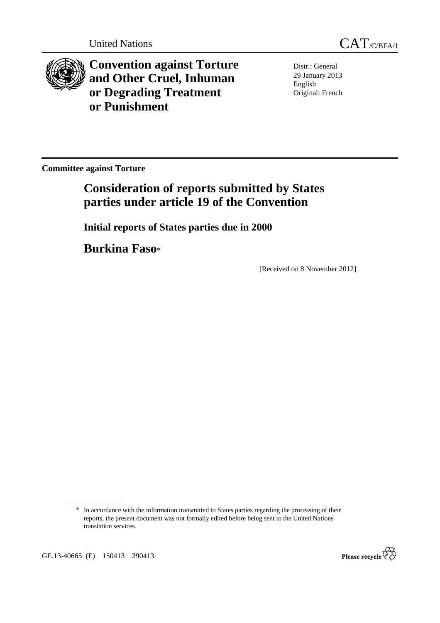

**Convention against Torture and Other Cruel, Inhuman or Degrading Treatment or Punishment**

Distr.: General 29 January 2013 English Original: French

**Committee against Torture** 

# **Consideration of reports submitted by States parties under article 19 of the Convention**

 **Initial reports of States parties due in 2000** 

 **Burkina Faso**\*

[Received on 8 November 2012]



<sup>\*</sup> In accordance with the information transmitted to States parties regarding the processing of their reports, the present document was not formally edited before being sent to the United Nations translation services.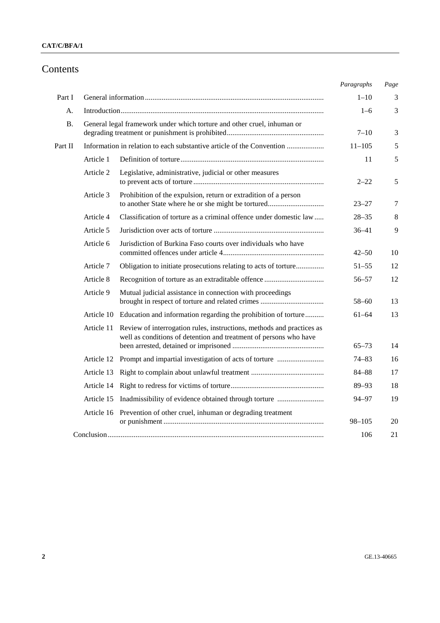# Contents

|           |                                                                         |                                                                                                                                            | Paragraphs | Page |
|-----------|-------------------------------------------------------------------------|--------------------------------------------------------------------------------------------------------------------------------------------|------------|------|
| Part I    |                                                                         |                                                                                                                                            | $1 - 10$   | 3    |
| А.        |                                                                         |                                                                                                                                            |            | 3    |
| <b>B.</b> | General legal framework under which torture and other cruel, inhuman or |                                                                                                                                            | $7 - 10$   | 3    |
| Part II   | Information in relation to each substantive article of the Convention   |                                                                                                                                            | $11 - 105$ | 5    |
|           | Article 1                                                               |                                                                                                                                            | 11         | 5    |
|           | Article 2                                                               | Legislative, administrative, judicial or other measures                                                                                    | $2 - 22$   | 5    |
|           | Article 3                                                               | Prohibition of the expulsion, return or extradition of a person<br>to another State where he or she might be tortured                      | $23 - 27$  | 7    |
|           | Article 4                                                               | Classification of torture as a criminal offence under domestic law                                                                         | $28 - 35$  | 8    |
|           | Article 5                                                               |                                                                                                                                            | $36 - 41$  | 9    |
|           | Article 6                                                               | Jurisdiction of Burkina Faso courts over individuals who have                                                                              | $42 - 50$  | 10   |
|           | Article 7                                                               | Obligation to initiate prosecutions relating to acts of torture                                                                            | $51 - 55$  | 12   |
|           | Article 8                                                               |                                                                                                                                            | $56 - 57$  | 12   |
|           | Article 9                                                               | Mutual judicial assistance in connection with proceedings                                                                                  | $58 - 60$  | 13   |
|           |                                                                         | Article 10 Education and information regarding the prohibition of torture                                                                  | $61 - 64$  | 13   |
|           | Article 11                                                              | Review of interrogation rules, instructions, methods and practices as<br>well as conditions of detention and treatment of persons who have |            |      |
|           |                                                                         |                                                                                                                                            | $65 - 73$  | 14   |
|           |                                                                         | Article 12 Prompt and impartial investigation of acts of torture                                                                           | 74–83      | 16   |
|           | Article 13                                                              |                                                                                                                                            | $84 - 88$  | 17   |
|           |                                                                         |                                                                                                                                            | $89 - 93$  | 18   |
|           |                                                                         |                                                                                                                                            | 94-97      | 19   |
|           | Article 16                                                              | Prevention of other cruel, inhuman or degrading treatment                                                                                  | $98 - 105$ | 20   |
|           |                                                                         |                                                                                                                                            | 106        | 21   |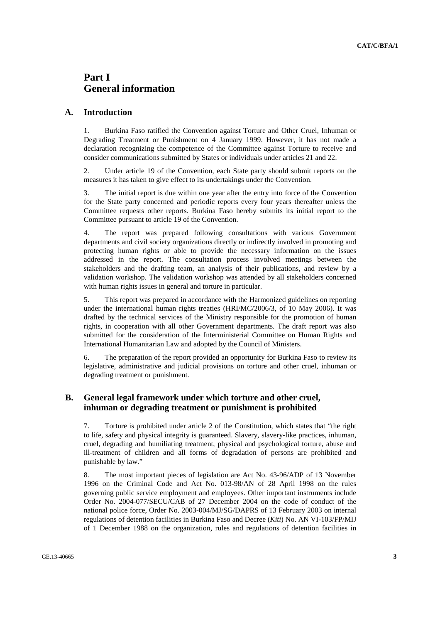# **Part I General information**

#### **A. Introduction**

1. Burkina Faso ratified the Convention against Torture and Other Cruel, Inhuman or Degrading Treatment or Punishment on 4 January 1999. However, it has not made a declaration recognizing the competence of the Committee against Torture to receive and consider communications submitted by States or individuals under articles 21 and 22.

2. Under article 19 of the Convention, each State party should submit reports on the measures it has taken to give effect to its undertakings under the Convention.

3. The initial report is due within one year after the entry into force of the Convention for the State party concerned and periodic reports every four years thereafter unless the Committee requests other reports. Burkina Faso hereby submits its initial report to the Committee pursuant to article 19 of the Convention.

4. The report was prepared following consultations with various Government departments and civil society organizations directly or indirectly involved in promoting and protecting human rights or able to provide the necessary information on the issues addressed in the report. The consultation process involved meetings between the stakeholders and the drafting team, an analysis of their publications, and review by a validation workshop. The validation workshop was attended by all stakeholders concerned with human rights issues in general and torture in particular.

5. This report was prepared in accordance with the Harmonized guidelines on reporting under the international human rights treaties (HRI/MC/2006/3, of 10 May 2006). It was drafted by the technical services of the Ministry responsible for the promotion of human rights, in cooperation with all other Government departments. The draft report was also submitted for the consideration of the Interministerial Committee on Human Rights and International Humanitarian Law and adopted by the Council of Ministers.

6. The preparation of the report provided an opportunity for Burkina Faso to review its legislative, administrative and judicial provisions on torture and other cruel, inhuman or degrading treatment or punishment.

#### **B. General legal framework under which torture and other cruel, inhuman or degrading treatment or punishment is prohibited**

7. Torture is prohibited under article 2 of the Constitution, which states that "the right to life, safety and physical integrity is guaranteed. Slavery, slavery-like practices, inhuman, cruel, degrading and humiliating treatment, physical and psychological torture, abuse and ill-treatment of children and all forms of degradation of persons are prohibited and punishable by law."

8. The most important pieces of legislation are Act No. 43-96/ADP of 13 November 1996 on the Criminal Code and Act No. 013-98/AN of 28 April 1998 on the rules governing public service employment and employees. Other important instruments include Order No. 2004-077/SECU/CAB of 27 December 2004 on the code of conduct of the national police force, Order No. 2003-004/MJ/SG/DAPRS of 13 February 2003 on internal regulations of detention facilities in Burkina Faso and Decree (*Kiti*) No. AN VI-103/FP/MIJ of 1 December 1988 on the organization, rules and regulations of detention facilities in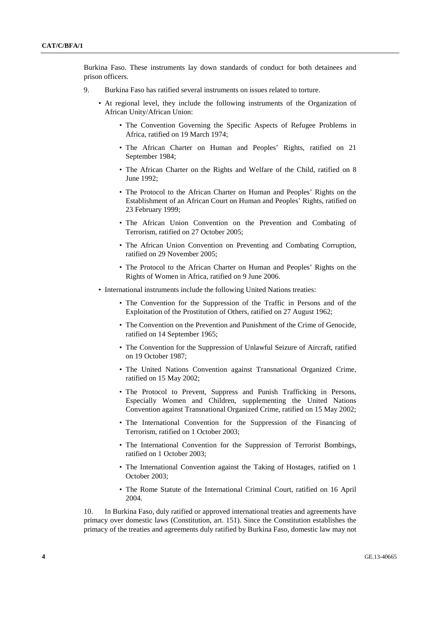Burkina Faso. These instruments lay down standards of conduct for both detainees and prison officers.

- 9. Burkina Faso has ratified several instruments on issues related to torture.
	- At regional level, they include the following instruments of the Organization of African Unity/African Union:
		- The Convention Governing the Specific Aspects of Refugee Problems in Africa, ratified on 19 March 1974;
		- The African Charter on Human and Peoples' Rights, ratified on 21 September 1984;
		- The African Charter on the Rights and Welfare of the Child, ratified on 8 June 1992;
		- The Protocol to the African Charter on Human and Peoples' Rights on the Establishment of an African Court on Human and Peoples' Rights, ratified on 23 February 1999;
		- The African Union Convention on the Prevention and Combating of Terrorism, ratified on 27 October 2005;
		- The African Union Convention on Preventing and Combating Corruption, ratified on 29 November 2005;
		- The Protocol to the African Charter on Human and Peoples' Rights on the Rights of Women in Africa, ratified on 9 June 2006.
	- International instruments include the following United Nations treaties:
		- The Convention for the Suppression of the Traffic in Persons and of the Exploitation of the Prostitution of Others, ratified on 27 August 1962;
		- The Convention on the Prevention and Punishment of the Crime of Genocide, ratified on 14 September 1965;
		- The Convention for the Suppression of Unlawful Seizure of Aircraft, ratified on 19 October 1987;
		- The United Nations Convention against Transnational Organized Crime, ratified on 15 May 2002;
		- The Protocol to Prevent, Suppress and Punish Trafficking in Persons, Especially Women and Children, supplementing the United Nations Convention against Transnational Organized Crime, ratified on 15 May 2002;
		- The International Convention for the Suppression of the Financing of Terrorism, ratified on 1 October 2003;
		- The International Convention for the Suppression of Terrorist Bombings, ratified on 1 October 2003;
		- The International Convention against the Taking of Hostages, ratified on 1 October 2003;
		- The Rome Statute of the International Criminal Court, ratified on 16 April 2004.

10. In Burkina Faso, duly ratified or approved international treaties and agreements have primacy over domestic laws (Constitution, art. 151). Since the Constitution establishes the primacy of the treaties and agreements duly ratified by Burkina Faso, domestic law may not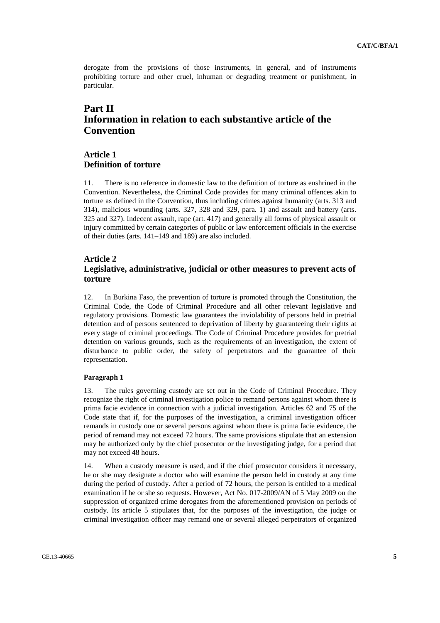derogate from the provisions of those instruments, in general, and of instruments prohibiting torture and other cruel, inhuman or degrading treatment or punishment, in particular.

# **Part II Information in relation to each substantive article of the Convention**

# **Article 1 Definition of torture**

11. There is no reference in domestic law to the definition of torture as enshrined in the Convention. Nevertheless, the Criminal Code provides for many criminal offences akin to torture as defined in the Convention, thus including crimes against humanity (arts. 313 and 314), malicious wounding (arts. 327, 328 and 329, para. 1) and assault and battery (arts. 325 and 327). Indecent assault, rape (art. 417) and generally all forms of physical assault or injury committed by certain categories of public or law enforcement officials in the exercise of their duties (arts. 141–149 and 189) are also included.

# **Article 2 Legislative, administrative, judicial or other measures to prevent acts of torture**

12. In Burkina Faso, the prevention of torture is promoted through the Constitution, the Criminal Code, the Code of Criminal Procedure and all other relevant legislative and regulatory provisions. Domestic law guarantees the inviolability of persons held in pretrial detention and of persons sentenced to deprivation of liberty by guaranteeing their rights at every stage of criminal proceedings. The Code of Criminal Procedure provides for pretrial detention on various grounds, such as the requirements of an investigation, the extent of disturbance to public order, the safety of perpetrators and the guarantee of their representation.

#### **Paragraph 1**

13. The rules governing custody are set out in the Code of Criminal Procedure. They recognize the right of criminal investigation police to remand persons against whom there is prima facie evidence in connection with a judicial investigation. Articles 62 and 75 of the Code state that if, for the purposes of the investigation, a criminal investigation officer remands in custody one or several persons against whom there is prima facie evidence, the period of remand may not exceed 72 hours. The same provisions stipulate that an extension may be authorized only by the chief prosecutor or the investigating judge, for a period that may not exceed 48 hours.

14. When a custody measure is used, and if the chief prosecutor considers it necessary, he or she may designate a doctor who will examine the person held in custody at any time during the period of custody. After a period of 72 hours, the person is entitled to a medical examination if he or she so requests. However, Act No. 017-2009/AN of 5 May 2009 on the suppression of organized crime derogates from the aforementioned provision on periods of custody. Its article 5 stipulates that, for the purposes of the investigation, the judge or criminal investigation officer may remand one or several alleged perpetrators of organized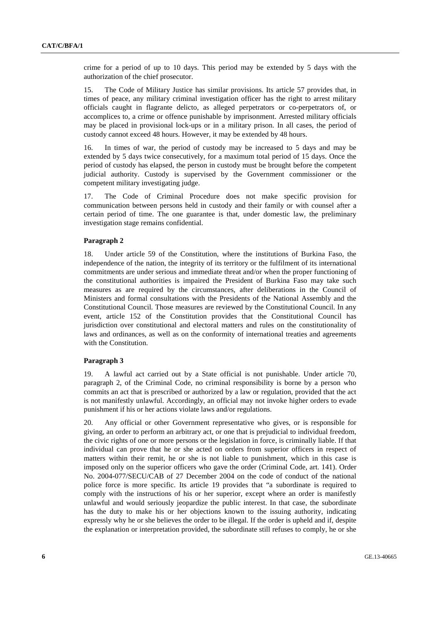crime for a period of up to 10 days. This period may be extended by 5 days with the authorization of the chief prosecutor.

15. The Code of Military Justice has similar provisions. Its article 57 provides that, in times of peace, any military criminal investigation officer has the right to arrest military officials caught in flagrante delicto, as alleged perpetrators or co-perpetrators of, or accomplices to, a crime or offence punishable by imprisonment. Arrested military officials may be placed in provisional lock-ups or in a military prison. In all cases, the period of custody cannot exceed 48 hours. However, it may be extended by 48 hours.

In times of war, the period of custody may be increased to 5 days and may be extended by 5 days twice consecutively, for a maximum total period of 15 days. Once the period of custody has elapsed, the person in custody must be brought before the competent judicial authority. Custody is supervised by the Government commissioner or the competent military investigating judge.

17. The Code of Criminal Procedure does not make specific provision for communication between persons held in custody and their family or with counsel after a certain period of time. The one guarantee is that, under domestic law, the preliminary investigation stage remains confidential.

#### **Paragraph 2**

18. Under article 59 of the Constitution, where the institutions of Burkina Faso, the independence of the nation, the integrity of its territory or the fulfilment of its international commitments are under serious and immediate threat and/or when the proper functioning of the constitutional authorities is impaired the President of Burkina Faso may take such measures as are required by the circumstances, after deliberations in the Council of Ministers and formal consultations with the Presidents of the National Assembly and the Constitutional Council. Those measures are reviewed by the Constitutional Council. In any event, article 152 of the Constitution provides that the Constitutional Council has jurisdiction over constitutional and electoral matters and rules on the constitutionality of laws and ordinances, as well as on the conformity of international treaties and agreements with the Constitution.

#### **Paragraph 3**

19. A lawful act carried out by a State official is not punishable. Under article 70, paragraph 2, of the Criminal Code, no criminal responsibility is borne by a person who commits an act that is prescribed or authorized by a law or regulation, provided that the act is not manifestly unlawful. Accordingly, an official may not invoke higher orders to evade punishment if his or her actions violate laws and/or regulations.

20. Any official or other Government representative who gives, or is responsible for giving, an order to perform an arbitrary act, or one that is prejudicial to individual freedom, the civic rights of one or more persons or the legislation in force, is criminally liable. If that individual can prove that he or she acted on orders from superior officers in respect of matters within their remit, he or she is not liable to punishment, which in this case is imposed only on the superior officers who gave the order (Criminal Code, art. 141). Order No. 2004-077/SECU/CAB of 27 December 2004 on the code of conduct of the national police force is more specific. Its article 19 provides that "a subordinate is required to comply with the instructions of his or her superior, except where an order is manifestly unlawful and would seriously jeopardize the public interest. In that case, the subordinate has the duty to make his or her objections known to the issuing authority, indicating expressly why he or she believes the order to be illegal. If the order is upheld and if, despite the explanation or interpretation provided, the subordinate still refuses to comply, he or she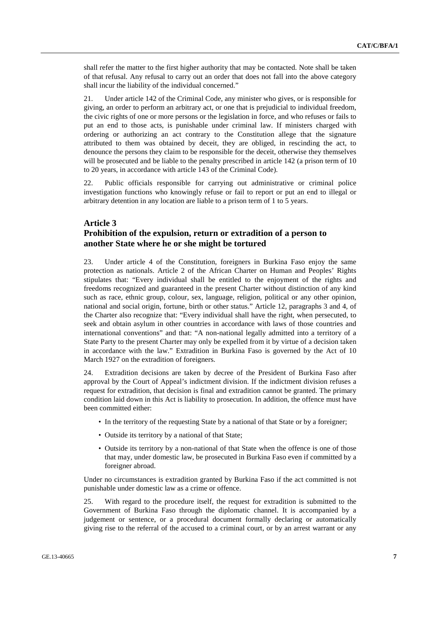shall refer the matter to the first higher authority that may be contacted. Note shall be taken of that refusal. Any refusal to carry out an order that does not fall into the above category shall incur the liability of the individual concerned."

21. Under article 142 of the Criminal Code, any minister who gives, or is responsible for giving, an order to perform an arbitrary act, or one that is prejudicial to individual freedom, the civic rights of one or more persons or the legislation in force, and who refuses or fails to put an end to those acts, is punishable under criminal law. If ministers charged with ordering or authorizing an act contrary to the Constitution allege that the signature attributed to them was obtained by deceit, they are obliged, in rescinding the act, to denounce the persons they claim to be responsible for the deceit, otherwise they themselves will be prosecuted and be liable to the penalty prescribed in article 142 (a prison term of 10 to 20 years, in accordance with article 143 of the Criminal Code).

22. Public officials responsible for carrying out administrative or criminal police investigation functions who knowingly refuse or fail to report or put an end to illegal or arbitrary detention in any location are liable to a prison term of 1 to 5 years.

# **Article 3**

## **Prohibition of the expulsion, return or extradition of a person to another State where he or she might be tortured**

23. Under article 4 of the Constitution, foreigners in Burkina Faso enjoy the same protection as nationals. Article 2 of the African Charter on Human and Peoples' Rights stipulates that: "Every individual shall be entitled to the enjoyment of the rights and freedoms recognized and guaranteed in the present Charter without distinction of any kind such as race, ethnic group, colour, sex, language, religion, political or any other opinion, national and social origin, fortune, birth or other status." Article 12, paragraphs 3 and 4, of the Charter also recognize that: "Every individual shall have the right, when persecuted, to seek and obtain asylum in other countries in accordance with laws of those countries and international conventions" and that: "A non-national legally admitted into a territory of a State Party to the present Charter may only be expelled from it by virtue of a decision taken in accordance with the law." Extradition in Burkina Faso is governed by the Act of 10 March 1927 on the extradition of foreigners.

24. Extradition decisions are taken by decree of the President of Burkina Faso after approval by the Court of Appeal's indictment division. If the indictment division refuses a request for extradition, that decision is final and extradition cannot be granted. The primary condition laid down in this Act is liability to prosecution. In addition, the offence must have been committed either:

- In the territory of the requesting State by a national of that State or by a foreigner;
- Outside its territory by a national of that State;
- Outside its territory by a non-national of that State when the offence is one of those that may, under domestic law, be prosecuted in Burkina Faso even if committed by a foreigner abroad.

Under no circumstances is extradition granted by Burkina Faso if the act committed is not punishable under domestic law as a crime or offence.

25. With regard to the procedure itself, the request for extradition is submitted to the Government of Burkina Faso through the diplomatic channel. It is accompanied by a judgement or sentence, or a procedural document formally declaring or automatically giving rise to the referral of the accused to a criminal court, or by an arrest warrant or any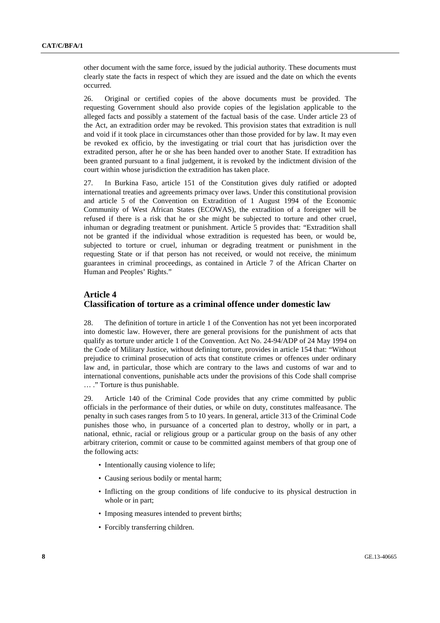other document with the same force, issued by the judicial authority. These documents must clearly state the facts in respect of which they are issued and the date on which the events occurred.

26. Original or certified copies of the above documents must be provided. The requesting Government should also provide copies of the legislation applicable to the alleged facts and possibly a statement of the factual basis of the case. Under article 23 of the Act, an extradition order may be revoked. This provision states that extradition is null and void if it took place in circumstances other than those provided for by law. It may even be revoked ex officio, by the investigating or trial court that has jurisdiction over the extradited person, after he or she has been handed over to another State. If extradition has been granted pursuant to a final judgement, it is revoked by the indictment division of the court within whose jurisdiction the extradition has taken place.

27. In Burkina Faso, article 151 of the Constitution gives duly ratified or adopted international treaties and agreements primacy over laws. Under this constitutional provision and article 5 of the Convention on Extradition of 1 August 1994 of the Economic Community of West African States (ECOWAS), the extradition of a foreigner will be refused if there is a risk that he or she might be subjected to torture and other cruel, inhuman or degrading treatment or punishment. Article 5 provides that: "Extradition shall not be granted if the individual whose extradition is requested has been, or would be, subjected to torture or cruel, inhuman or degrading treatment or punishment in the requesting State or if that person has not received, or would not receive, the minimum guarantees in criminal proceedings, as contained in Article 7 of the African Charter on Human and Peoples' Rights."

#### **Article 4**

# **Classification of torture as a criminal offence under domestic law**

28. The definition of torture in article 1 of the Convention has not yet been incorporated into domestic law. However, there are general provisions for the punishment of acts that qualify as torture under article 1 of the Convention. Act No. 24-94/ADP of 24 May 1994 on the Code of Military Justice, without defining torture, provides in article 154 that: "Without prejudice to criminal prosecution of acts that constitute crimes or offences under ordinary law and, in particular, those which are contrary to the laws and customs of war and to international conventions, punishable acts under the provisions of this Code shall comprise … ." Torture is thus punishable.

29. Article 140 of the Criminal Code provides that any crime committed by public officials in the performance of their duties, or while on duty, constitutes malfeasance. The penalty in such cases ranges from 5 to 10 years. In general, article 313 of the Criminal Code punishes those who, in pursuance of a concerted plan to destroy, wholly or in part, a national, ethnic, racial or religious group or a particular group on the basis of any other arbitrary criterion, commit or cause to be committed against members of that group one of the following acts:

- Intentionally causing violence to life;
- Causing serious bodily or mental harm;
- Inflicting on the group conditions of life conducive to its physical destruction in whole or in part;
- Imposing measures intended to prevent births;
- Forcibly transferring children.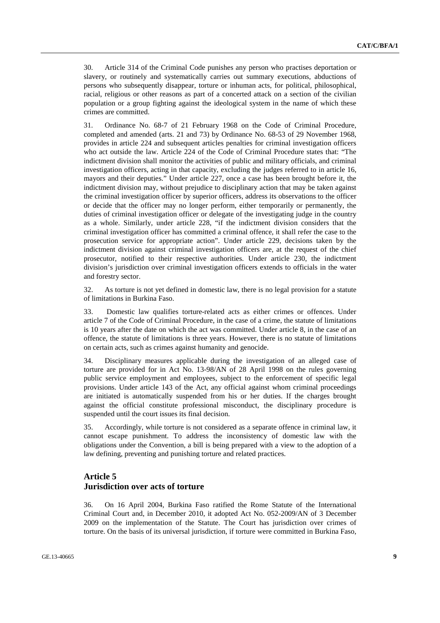30. Article 314 of the Criminal Code punishes any person who practises deportation or slavery, or routinely and systematically carries out summary executions, abductions of persons who subsequently disappear, torture or inhuman acts, for political, philosophical, racial, religious or other reasons as part of a concerted attack on a section of the civilian population or a group fighting against the ideological system in the name of which these crimes are committed.

31. Ordinance No. 68-7 of 21 February 1968 on the Code of Criminal Procedure, completed and amended (arts. 21 and 73) by Ordinance No. 68-53 of 29 November 1968, provides in article 224 and subsequent articles penalties for criminal investigation officers who act outside the law. Article 224 of the Code of Criminal Procedure states that: "The indictment division shall monitor the activities of public and military officials, and criminal investigation officers, acting in that capacity, excluding the judges referred to in article 16, mayors and their deputies." Under article 227, once a case has been brought before it, the indictment division may, without prejudice to disciplinary action that may be taken against the criminal investigation officer by superior officers, address its observations to the officer or decide that the officer may no longer perform, either temporarily or permanently, the duties of criminal investigation officer or delegate of the investigating judge in the country as a whole. Similarly, under article 228, "if the indictment division considers that the criminal investigation officer has committed a criminal offence, it shall refer the case to the prosecution service for appropriate action". Under article 229, decisions taken by the indictment division against criminal investigation officers are, at the request of the chief prosecutor, notified to their respective authorities. Under article 230, the indictment division's jurisdiction over criminal investigation officers extends to officials in the water and forestry sector.

32. As torture is not yet defined in domestic law, there is no legal provision for a statute of limitations in Burkina Faso.

33. Domestic law qualifies torture-related acts as either crimes or offences. Under article 7 of the Code of Criminal Procedure, in the case of a crime, the statute of limitations is 10 years after the date on which the act was committed. Under article 8, in the case of an offence, the statute of limitations is three years. However, there is no statute of limitations on certain acts, such as crimes against humanity and genocide.

34. Disciplinary measures applicable during the investigation of an alleged case of torture are provided for in Act No. 13-98/AN of 28 April 1998 on the rules governing public service employment and employees, subject to the enforcement of specific legal provisions. Under article 143 of the Act, any official against whom criminal proceedings are initiated is automatically suspended from his or her duties. If the charges brought against the official constitute professional misconduct, the disciplinary procedure is suspended until the court issues its final decision.

35. Accordingly, while torture is not considered as a separate offence in criminal law, it cannot escape punishment. To address the inconsistency of domestic law with the obligations under the Convention, a bill is being prepared with a view to the adoption of a law defining, preventing and punishing torture and related practices.

# **Article 5**

# **Jurisdiction over acts of torture**

36. On 16 April 2004, Burkina Faso ratified the Rome Statute of the International Criminal Court and, in December 2010, it adopted Act No. 052-2009/AN of 3 December 2009 on the implementation of the Statute. The Court has jurisdiction over crimes of torture. On the basis of its universal jurisdiction, if torture were committed in Burkina Faso,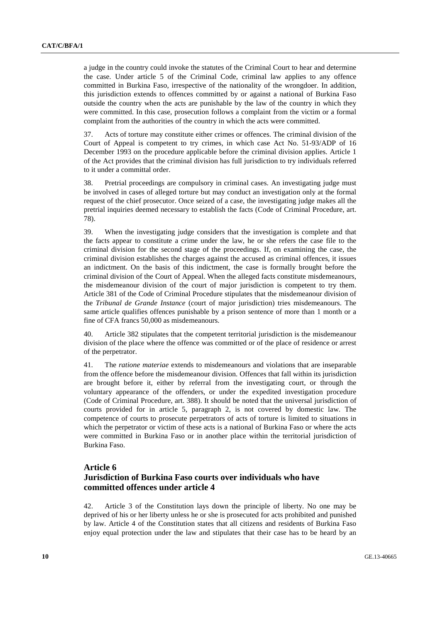a judge in the country could invoke the statutes of the Criminal Court to hear and determine the case. Under article 5 of the Criminal Code, criminal law applies to any offence committed in Burkina Faso, irrespective of the nationality of the wrongdoer. In addition, this jurisdiction extends to offences committed by or against a national of Burkina Faso outside the country when the acts are punishable by the law of the country in which they were committed. In this case, prosecution follows a complaint from the victim or a formal complaint from the authorities of the country in which the acts were committed.

37. Acts of torture may constitute either crimes or offences. The criminal division of the Court of Appeal is competent to try crimes, in which case Act No. 51-93/ADP of 16 December 1993 on the procedure applicable before the criminal division applies. Article 1 of the Act provides that the criminal division has full jurisdiction to try individuals referred to it under a committal order.

38. Pretrial proceedings are compulsory in criminal cases. An investigating judge must be involved in cases of alleged torture but may conduct an investigation only at the formal request of the chief prosecutor. Once seized of a case, the investigating judge makes all the pretrial inquiries deemed necessary to establish the facts (Code of Criminal Procedure, art. 78).

39. When the investigating judge considers that the investigation is complete and that the facts appear to constitute a crime under the law, he or she refers the case file to the criminal division for the second stage of the proceedings. If, on examining the case, the criminal division establishes the charges against the accused as criminal offences, it issues an indictment. On the basis of this indictment, the case is formally brought before the criminal division of the Court of Appeal. When the alleged facts constitute misdemeanours, the misdemeanour division of the court of major jurisdiction is competent to try them. Article 381 of the Code of Criminal Procedure stipulates that the misdemeanour division of the *Tribunal de Grande Instance* (court of major jurisdiction) tries misdemeanours. The same article qualifies offences punishable by a prison sentence of more than 1 month or a fine of CFA francs 50,000 as misdemeanours.

40. Article 382 stipulates that the competent territorial jurisdiction is the misdemeanour division of the place where the offence was committed or of the place of residence or arrest of the perpetrator.

41. The *ratione materiae* extends to misdemeanours and violations that are inseparable from the offence before the misdemeanour division. Offences that fall within its jurisdiction are brought before it, either by referral from the investigating court, or through the voluntary appearance of the offenders, or under the expedited investigation procedure (Code of Criminal Procedure, art. 388). It should be noted that the universal jurisdiction of courts provided for in article 5, paragraph 2, is not covered by domestic law. The competence of courts to prosecute perpetrators of acts of torture is limited to situations in which the perpetrator or victim of these acts is a national of Burkina Faso or where the acts were committed in Burkina Faso or in another place within the territorial jurisdiction of Burkina Faso.

#### **Article 6**

# **Jurisdiction of Burkina Faso courts over individuals who have committed offences under article 4**

42. Article 3 of the Constitution lays down the principle of liberty. No one may be deprived of his or her liberty unless he or she is prosecuted for acts prohibited and punished by law. Article 4 of the Constitution states that all citizens and residents of Burkina Faso enjoy equal protection under the law and stipulates that their case has to be heard by an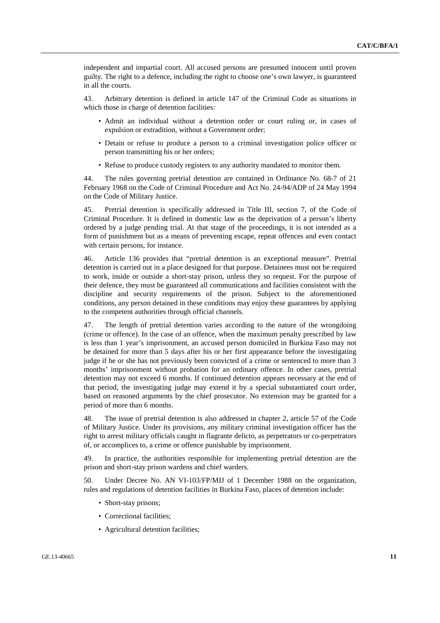independent and impartial court. All accused persons are presumed innocent until proven guilty. The right to a defence, including the right to choose one's own lawyer, is guaranteed in all the courts.

43. Arbitrary detention is defined in article 147 of the Criminal Code as situations in which those in charge of detention facilities:

- Admit an individual without a detention order or court ruling or, in cases of expulsion or extradition, without a Government order;
- Detain or refuse to produce a person to a criminal investigation police officer or person transmitting his or her orders;
- Refuse to produce custody registers to any authority mandated to monitor them.

44. The rules governing pretrial detention are contained in Ordinance No. 68-7 of 21 February 1968 on the Code of Criminal Procedure and Act No. 24-94/ADP of 24 May 1994 on the Code of Military Justice.

45. Pretrial detention is specifically addressed in Title III, section 7, of the Code of Criminal Procedure. It is defined in domestic law as the deprivation of a person's liberty ordered by a judge pending trial. At that stage of the proceedings, it is not intended as a form of punishment but as a means of preventing escape, repeat offences and even contact with certain persons, for instance.

46. Article 136 provides that "pretrial detention is an exceptional measure". Pretrial detention is carried out in a place designed for that purpose. Detainees must not be required to work, inside or outside a short-stay prison, unless they so request. For the purpose of their defence, they must be guaranteed all communications and facilities consistent with the discipline and security requirements of the prison. Subject to the aforementioned conditions, any person detained in these conditions may enjoy these guarantees by applying to the competent authorities through official channels.

47. The length of pretrial detention varies according to the nature of the wrongdoing (crime or offence). In the case of an offence, when the maximum penalty prescribed by law is less than 1 year's imprisonment, an accused person domiciled in Burkina Faso may not be detained for more than 5 days after his or her first appearance before the investigating judge if he or she has not previously been convicted of a crime or sentenced to more than 3 months' imprisonment without probation for an ordinary offence. In other cases, pretrial detention may not exceed 6 months. If continued detention appears necessary at the end of that period, the investigating judge may extend it by a special substantiated court order, based on reasoned arguments by the chief prosecutor. No extension may be granted for a period of more than 6 months.

48. The issue of pretrial detention is also addressed in chapter 2, article 57 of the Code of Military Justice. Under its provisions, any military criminal investigation officer has the right to arrest military officials caught in flagrante delicto, as perpetrators or co-perpetrators of, or accomplices to, a crime or offence punishable by imprisonment.

49. In practice, the authorities responsible for implementing pretrial detention are the prison and short-stay prison wardens and chief warders.

50. Under Decree No. AN VI-103/FP/MIJ of 1 December 1988 on the organization, rules and regulations of detention facilities in Burkina Faso, places of detention include:

- Short-stay prisons;
- Correctional facilities;
- Agricultural detention facilities;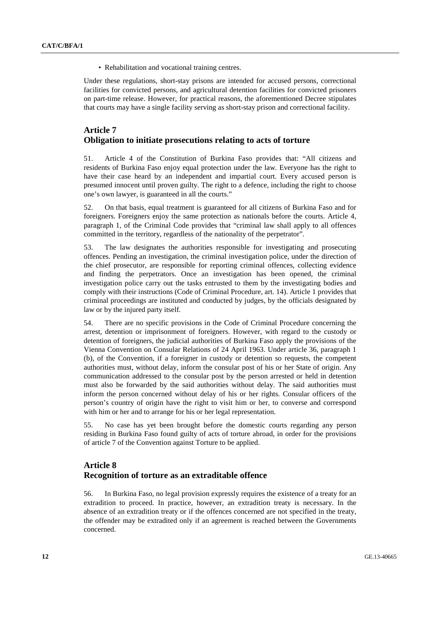• Rehabilitation and vocational training centres.

Under these regulations, short-stay prisons are intended for accused persons, correctional facilities for convicted persons, and agricultural detention facilities for convicted prisoners on part-time release. However, for practical reasons, the aforementioned Decree stipulates that courts may have a single facility serving as short-stay prison and correctional facility.

# **Article 7 Obligation to initiate prosecutions relating to acts of torture**

51. Article 4 of the Constitution of Burkina Faso provides that: "All citizens and residents of Burkina Faso enjoy equal protection under the law. Everyone has the right to have their case heard by an independent and impartial court. Every accused person is presumed innocent until proven guilty. The right to a defence, including the right to choose one's own lawyer, is guaranteed in all the courts."

52. On that basis, equal treatment is guaranteed for all citizens of Burkina Faso and for foreigners. Foreigners enjoy the same protection as nationals before the courts. Article 4, paragraph 1, of the Criminal Code provides that "criminal law shall apply to all offences committed in the territory, regardless of the nationality of the perpetrator".

53. The law designates the authorities responsible for investigating and prosecuting offences. Pending an investigation, the criminal investigation police, under the direction of the chief prosecutor, are responsible for reporting criminal offences, collecting evidence and finding the perpetrators. Once an investigation has been opened, the criminal investigation police carry out the tasks entrusted to them by the investigating bodies and comply with their instructions (Code of Criminal Procedure, art. 14). Article 1 provides that criminal proceedings are instituted and conducted by judges, by the officials designated by law or by the injured party itself.

54. There are no specific provisions in the Code of Criminal Procedure concerning the arrest, detention or imprisonment of foreigners. However, with regard to the custody or detention of foreigners, the judicial authorities of Burkina Faso apply the provisions of the Vienna Convention on Consular Relations of 24 April 1963. Under article 36, paragraph 1 (b), of the Convention, if a foreigner in custody or detention so requests, the competent authorities must, without delay, inform the consular post of his or her State of origin. Any communication addressed to the consular post by the person arrested or held in detention must also be forwarded by the said authorities without delay. The said authorities must inform the person concerned without delay of his or her rights. Consular officers of the person's country of origin have the right to visit him or her, to converse and correspond with him or her and to arrange for his or her legal representation.

55. No case has yet been brought before the domestic courts regarding any person residing in Burkina Faso found guilty of acts of torture abroad, in order for the provisions of article 7 of the Convention against Torture to be applied.

# **Article 8 Recognition of torture as an extraditable offence**

56. In Burkina Faso, no legal provision expressly requires the existence of a treaty for an extradition to proceed. In practice, however, an extradition treaty is necessary. In the absence of an extradition treaty or if the offences concerned are not specified in the treaty, the offender may be extradited only if an agreement is reached between the Governments concerned.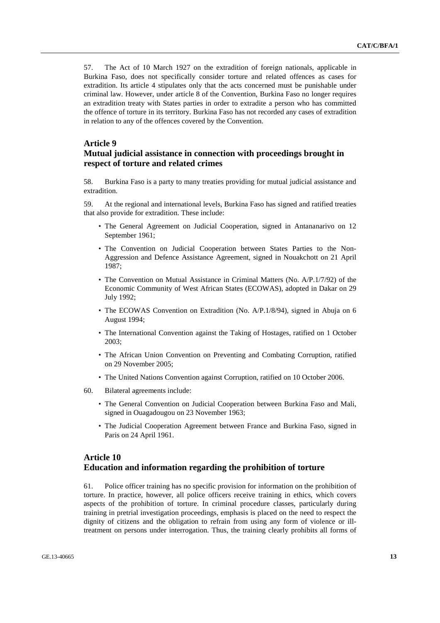57. The Act of 10 March 1927 on the extradition of foreign nationals, applicable in Burkina Faso, does not specifically consider torture and related offences as cases for extradition. Its article 4 stipulates only that the acts concerned must be punishable under criminal law. However, under article 8 of the Convention, Burkina Faso no longer requires an extradition treaty with States parties in order to extradite a person who has committed the offence of torture in its territory. Burkina Faso has not recorded any cases of extradition in relation to any of the offences covered by the Convention.

#### **Article 9**

#### **Mutual judicial assistance in connection with proceedings brought in respect of torture and related crimes**

58. Burkina Faso is a party to many treaties providing for mutual judicial assistance and extradition.

59. At the regional and international levels, Burkina Faso has signed and ratified treaties that also provide for extradition. These include:

- The General Agreement on Judicial Cooperation, signed in Antananarivo on 12 September 1961;
- The Convention on Judicial Cooperation between States Parties to the Non-Aggression and Defence Assistance Agreement, signed in Nouakchott on 21 April 1987;
- The Convention on Mutual Assistance in Criminal Matters (No. A/P.1/7/92) of the Economic Community of West African States (ECOWAS), adopted in Dakar on 29 July 1992;
- The ECOWAS Convention on Extradition (No. A/P.1/8/94), signed in Abuja on 6 August 1994;
- The International Convention against the Taking of Hostages, ratified on 1 October 2003;
- The African Union Convention on Preventing and Combating Corruption, ratified on 29 November 2005;
- The United Nations Convention against Corruption, ratified on 10 October 2006.
- 60. Bilateral agreements include:
	- The General Convention on Judicial Cooperation between Burkina Faso and Mali, signed in Ouagadougou on 23 November 1963;
	- The Judicial Cooperation Agreement between France and Burkina Faso, signed in Paris on 24 April 1961.

# **Article 10 Education and information regarding the prohibition of torture**

61. Police officer training has no specific provision for information on the prohibition of torture. In practice, however, all police officers receive training in ethics, which covers aspects of the prohibition of torture. In criminal procedure classes, particularly during training in pretrial investigation proceedings, emphasis is placed on the need to respect the dignity of citizens and the obligation to refrain from using any form of violence or illtreatment on persons under interrogation. Thus, the training clearly prohibits all forms of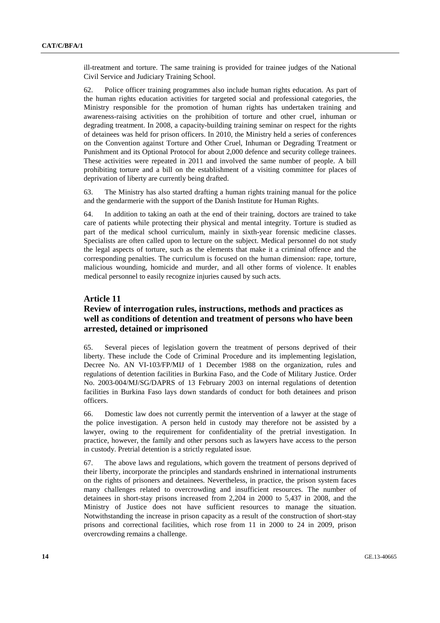ill-treatment and torture. The same training is provided for trainee judges of the National Civil Service and Judiciary Training School.

62. Police officer training programmes also include human rights education. As part of the human rights education activities for targeted social and professional categories, the Ministry responsible for the promotion of human rights has undertaken training and awareness-raising activities on the prohibition of torture and other cruel, inhuman or degrading treatment. In 2008, a capacity-building training seminar on respect for the rights of detainees was held for prison officers. In 2010, the Ministry held a series of conferences on the Convention against Torture and Other Cruel, Inhuman or Degrading Treatment or Punishment and its Optional Protocol for about 2,000 defence and security college trainees. These activities were repeated in 2011 and involved the same number of people. A bill prohibiting torture and a bill on the establishment of a visiting committee for places of deprivation of liberty are currently being drafted.

63. The Ministry has also started drafting a human rights training manual for the police and the gendarmerie with the support of the Danish Institute for Human Rights.

64. In addition to taking an oath at the end of their training, doctors are trained to take care of patients while protecting their physical and mental integrity. Torture is studied as part of the medical school curriculum, mainly in sixth-year forensic medicine classes. Specialists are often called upon to lecture on the subject. Medical personnel do not study the legal aspects of torture, such as the elements that make it a criminal offence and the corresponding penalties. The curriculum is focused on the human dimension: rape, torture, malicious wounding, homicide and murder, and all other forms of violence. It enables medical personnel to easily recognize injuries caused by such acts.

#### **Article 11**

## **Review of interrogation rules, instructions, methods and practices as well as conditions of detention and treatment of persons who have been arrested, detained or imprisoned**

65. Several pieces of legislation govern the treatment of persons deprived of their liberty. These include the Code of Criminal Procedure and its implementing legislation, Decree No. AN VI-103/FP/MIJ of 1 December 1988 on the organization, rules and regulations of detention facilities in Burkina Faso, and the Code of Military Justice. Order No. 2003-004/MJ/SG/DAPRS of 13 February 2003 on internal regulations of detention facilities in Burkina Faso lays down standards of conduct for both detainees and prison officers.

66. Domestic law does not currently permit the intervention of a lawyer at the stage of the police investigation. A person held in custody may therefore not be assisted by a lawyer, owing to the requirement for confidentiality of the pretrial investigation. In practice, however, the family and other persons such as lawyers have access to the person in custody. Pretrial detention is a strictly regulated issue.

67. The above laws and regulations, which govern the treatment of persons deprived of their liberty, incorporate the principles and standards enshrined in international instruments on the rights of prisoners and detainees. Nevertheless, in practice, the prison system faces many challenges related to overcrowding and insufficient resources. The number of detainees in short-stay prisons increased from 2,204 in 2000 to 5,437 in 2008, and the Ministry of Justice does not have sufficient resources to manage the situation. Notwithstanding the increase in prison capacity as a result of the construction of short-stay prisons and correctional facilities, which rose from 11 in 2000 to 24 in 2009, prison overcrowding remains a challenge.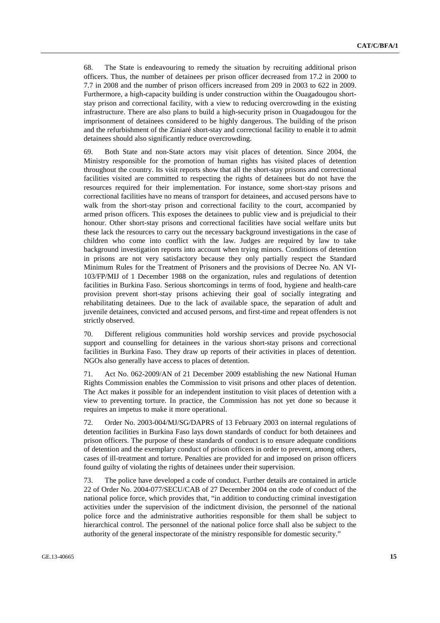68. The State is endeavouring to remedy the situation by recruiting additional prison officers. Thus, the number of detainees per prison officer decreased from 17.2 in 2000 to 7.7 in 2008 and the number of prison officers increased from 209 in 2003 to 622 in 2009. Furthermore, a high-capacity building is under construction within the Ouagadougou shortstay prison and correctional facility, with a view to reducing overcrowding in the existing infrastructure. There are also plans to build a high-security prison in Ouagadougou for the imprisonment of detainees considered to be highly dangerous. The building of the prison and the refurbishment of the Ziniaré short-stay and correctional facility to enable it to admit detainees should also significantly reduce overcrowding.

69. Both State and non-State actors may visit places of detention. Since 2004, the Ministry responsible for the promotion of human rights has visited places of detention throughout the country. Its visit reports show that all the short-stay prisons and correctional facilities visited are committed to respecting the rights of detainees but do not have the resources required for their implementation. For instance, some short-stay prisons and correctional facilities have no means of transport for detainees, and accused persons have to walk from the short-stay prison and correctional facility to the court, accompanied by armed prison officers. This exposes the detainees to public view and is prejudicial to their honour. Other short-stay prisons and correctional facilities have social welfare units but these lack the resources to carry out the necessary background investigations in the case of children who come into conflict with the law. Judges are required by law to take background investigation reports into account when trying minors. Conditions of detention in prisons are not very satisfactory because they only partially respect the Standard Minimum Rules for the Treatment of Prisoners and the provisions of Decree No. AN VI-103/FP/MIJ of 1 December 1988 on the organization, rules and regulations of detention facilities in Burkina Faso. Serious shortcomings in terms of food, hygiene and health-care provision prevent short-stay prisons achieving their goal of socially integrating and rehabilitating detainees. Due to the lack of available space, the separation of adult and juvenile detainees, convicted and accused persons, and first-time and repeat offenders is not strictly observed.

70. Different religious communities hold worship services and provide psychosocial support and counselling for detainees in the various short-stay prisons and correctional facilities in Burkina Faso. They draw up reports of their activities in places of detention. NGOs also generally have access to places of detention.

71. Act No. 062-2009/AN of 21 December 2009 establishing the new National Human Rights Commission enables the Commission to visit prisons and other places of detention. The Act makes it possible for an independent institution to visit places of detention with a view to preventing torture. In practice, the Commission has not yet done so because it requires an impetus to make it more operational.

72. Order No. 2003-004/MJ/SG/DAPRS of 13 February 2003 on internal regulations of detention facilities in Burkina Faso lays down standards of conduct for both detainees and prison officers. The purpose of these standards of conduct is to ensure adequate conditions of detention and the exemplary conduct of prison officers in order to prevent, among others, cases of ill-treatment and torture. Penalties are provided for and imposed on prison officers found guilty of violating the rights of detainees under their supervision.

73. The police have developed a code of conduct. Further details are contained in article 22 of Order No. 2004-077/SECU/CAB of 27 December 2004 on the code of conduct of the national police force, which provides that, "in addition to conducting criminal investigation activities under the supervision of the indictment division, the personnel of the national police force and the administrative authorities responsible for them shall be subject to hierarchical control. The personnel of the national police force shall also be subject to the authority of the general inspectorate of the ministry responsible for domestic security."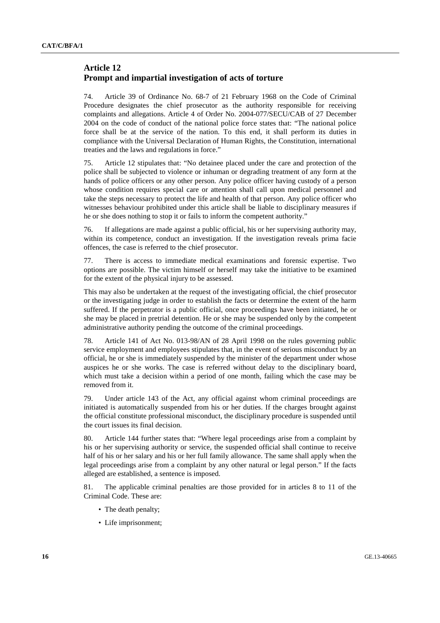## **Article 12 Prompt and impartial investigation of acts of torture**

74. Article 39 of Ordinance No. 68-7 of 21 February 1968 on the Code of Criminal Procedure designates the chief prosecutor as the authority responsible for receiving complaints and allegations. Article 4 of Order No. 2004-077/SECU/CAB of 27 December 2004 on the code of conduct of the national police force states that: "The national police force shall be at the service of the nation. To this end, it shall perform its duties in compliance with the Universal Declaration of Human Rights, the Constitution, international treaties and the laws and regulations in force."

75. Article 12 stipulates that: "No detainee placed under the care and protection of the police shall be subjected to violence or inhuman or degrading treatment of any form at the hands of police officers or any other person. Any police officer having custody of a person whose condition requires special care or attention shall call upon medical personnel and take the steps necessary to protect the life and health of that person. Any police officer who witnesses behaviour prohibited under this article shall be liable to disciplinary measures if he or she does nothing to stop it or fails to inform the competent authority."

76. If allegations are made against a public official, his or her supervising authority may, within its competence, conduct an investigation. If the investigation reveals prima facie offences, the case is referred to the chief prosecutor.

77. There is access to immediate medical examinations and forensic expertise. Two options are possible. The victim himself or herself may take the initiative to be examined for the extent of the physical injury to be assessed.

This may also be undertaken at the request of the investigating official, the chief prosecutor or the investigating judge in order to establish the facts or determine the extent of the harm suffered. If the perpetrator is a public official, once proceedings have been initiated, he or she may be placed in pretrial detention. He or she may be suspended only by the competent administrative authority pending the outcome of the criminal proceedings.

78. Article 141 of Act No. 013-98/AN of 28 April 1998 on the rules governing public service employment and employees stipulates that, in the event of serious misconduct by an official, he or she is immediately suspended by the minister of the department under whose auspices he or she works. The case is referred without delay to the disciplinary board, which must take a decision within a period of one month, failing which the case may be removed from it.

79. Under article 143 of the Act, any official against whom criminal proceedings are initiated is automatically suspended from his or her duties. If the charges brought against the official constitute professional misconduct, the disciplinary procedure is suspended until the court issues its final decision.

80. Article 144 further states that: "Where legal proceedings arise from a complaint by his or her supervising authority or service, the suspended official shall continue to receive half of his or her salary and his or her full family allowance. The same shall apply when the legal proceedings arise from a complaint by any other natural or legal person." If the facts alleged are established, a sentence is imposed.

81. The applicable criminal penalties are those provided for in articles 8 to 11 of the Criminal Code. These are:

- The death penalty;
- Life imprisonment;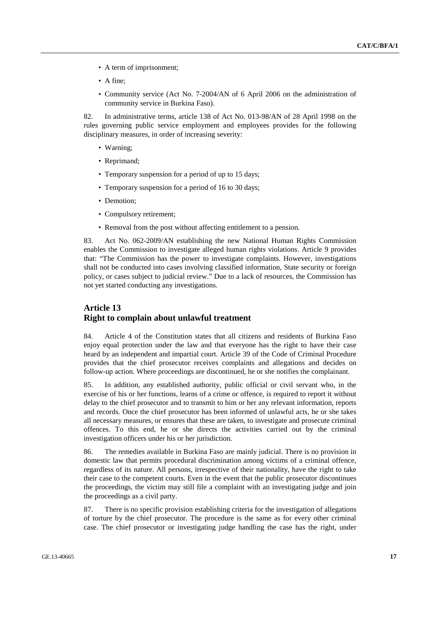- A term of imprisonment;
- A fine;
- Community service (Act No. 7-2004/AN of 6 April 2006 on the administration of community service in Burkina Faso).

82. In administrative terms, article 138 of Act No. 013-98/AN of 28 April 1998 on the rules governing public service employment and employees provides for the following disciplinary measures, in order of increasing severity:

- Warning;
- Reprimand:
- Temporary suspension for a period of up to 15 days;
- Temporary suspension for a period of 16 to 30 days;
- Demotion;
- Compulsory retirement;
- Removal from the post without affecting entitlement to a pension.

83. Act No. 062-2009/AN establishing the new National Human Rights Commission enables the Commission to investigate alleged human rights violations. Article 9 provides that: "The Commission has the power to investigate complaints. However, investigations shall not be conducted into cases involving classified information, State security or foreign policy, or cases subject to judicial review." Due to a lack of resources, the Commission has not yet started conducting any investigations.

# **Article 13 Right to complain about unlawful treatment**

84. Article 4 of the Constitution states that all citizens and residents of Burkina Faso enjoy equal protection under the law and that everyone has the right to have their case heard by an independent and impartial court. Article 39 of the Code of Criminal Procedure provides that the chief prosecutor receives complaints and allegations and decides on follow-up action. Where proceedings are discontinued, he or she notifies the complainant.

85. In addition, any established authority, public official or civil servant who, in the exercise of his or her functions, learns of a crime or offence, is required to report it without delay to the chief prosecutor and to transmit to him or her any relevant information, reports and records. Once the chief prosecutor has been informed of unlawful acts, he or she takes all necessary measures, or ensures that these are taken, to investigate and prosecute criminal offences. To this end, he or she directs the activities carried out by the criminal investigation officers under his or her jurisdiction.

86. The remedies available in Burkina Faso are mainly judicial. There is no provision in domestic law that permits procedural discrimination among victims of a criminal offence, regardless of its nature. All persons, irrespective of their nationality, have the right to take their case to the competent courts. Even in the event that the public prosecutor discontinues the proceedings, the victim may still file a complaint with an investigating judge and join the proceedings as a civil party.

87. There is no specific provision establishing criteria for the investigation of allegations of torture by the chief prosecutor. The procedure is the same as for every other criminal case. The chief prosecutor or investigating judge handling the case has the right, under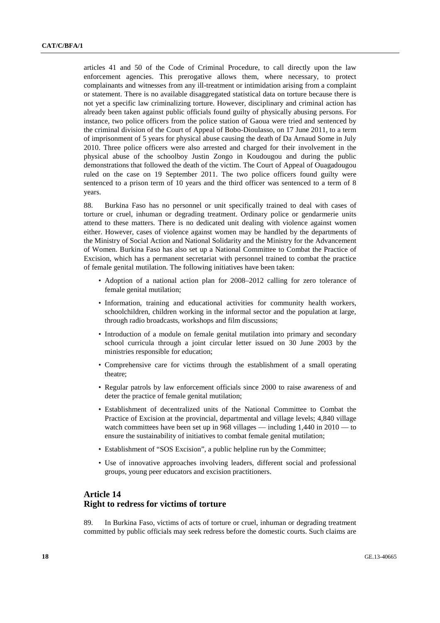articles 41 and 50 of the Code of Criminal Procedure, to call directly upon the law enforcement agencies. This prerogative allows them, where necessary, to protect complainants and witnesses from any ill-treatment or intimidation arising from a complaint or statement. There is no available disaggregated statistical data on torture because there is not yet a specific law criminalizing torture. However, disciplinary and criminal action has already been taken against public officials found guilty of physically abusing persons. For instance, two police officers from the police station of Gaoua were tried and sentenced by the criminal division of the Court of Appeal of Bobo-Dioulasso, on 17 June 2011, to a term of imprisonment of 5 years for physical abuse causing the death of Da Arnaud Some in July 2010. Three police officers were also arrested and charged for their involvement in the physical abuse of the schoolboy Justin Zongo in Koudougou and during the public demonstrations that followed the death of the victim. The Court of Appeal of Ouagadougou ruled on the case on 19 September 2011. The two police officers found guilty were sentenced to a prison term of 10 years and the third officer was sentenced to a term of 8 years.

88. Burkina Faso has no personnel or unit specifically trained to deal with cases of torture or cruel, inhuman or degrading treatment. Ordinary police or gendarmerie units attend to these matters. There is no dedicated unit dealing with violence against women either. However, cases of violence against women may be handled by the departments of the Ministry of Social Action and National Solidarity and the Ministry for the Advancement of Women. Burkina Faso has also set up a National Committee to Combat the Practice of Excision, which has a permanent secretariat with personnel trained to combat the practice of female genital mutilation. The following initiatives have been taken:

- Adoption of a national action plan for 2008–2012 calling for zero tolerance of female genital mutilation;
- Information, training and educational activities for community health workers, schoolchildren, children working in the informal sector and the population at large, through radio broadcasts, workshops and film discussions;
- Introduction of a module on female genital mutilation into primary and secondary school curricula through a joint circular letter issued on 30 June 2003 by the ministries responsible for education;
- Comprehensive care for victims through the establishment of a small operating theatre;
- Regular patrols by law enforcement officials since 2000 to raise awareness of and deter the practice of female genital mutilation;
- Establishment of decentralized units of the National Committee to Combat the Practice of Excision at the provincial, departmental and village levels; 4,840 village watch committees have been set up in 968 villages — including 1,440 in 2010 — to ensure the sustainability of initiatives to combat female genital mutilation;
- Establishment of "SOS Excision", a public helpline run by the Committee;
- Use of innovative approaches involving leaders, different social and professional groups, young peer educators and excision practitioners.

#### **Article 14 Right to redress for victims of torture**

89. In Burkina Faso, victims of acts of torture or cruel, inhuman or degrading treatment committed by public officials may seek redress before the domestic courts. Such claims are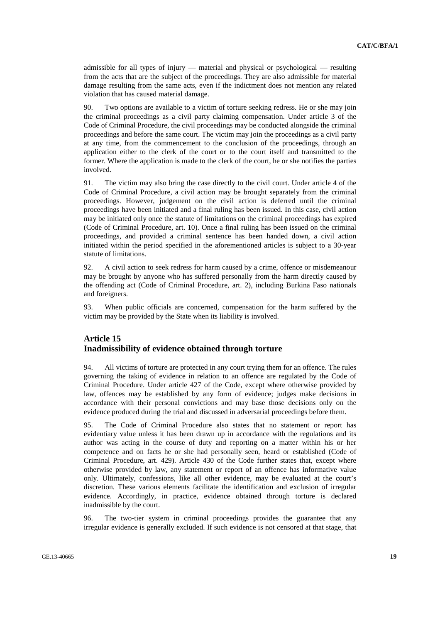admissible for all types of injury — material and physical or psychological — resulting from the acts that are the subject of the proceedings. They are also admissible for material damage resulting from the same acts, even if the indictment does not mention any related violation that has caused material damage.

90. Two options are available to a victim of torture seeking redress. He or she may join the criminal proceedings as a civil party claiming compensation. Under article 3 of the Code of Criminal Procedure, the civil proceedings may be conducted alongside the criminal proceedings and before the same court. The victim may join the proceedings as a civil party at any time, from the commencement to the conclusion of the proceedings, through an application either to the clerk of the court or to the court itself and transmitted to the former. Where the application is made to the clerk of the court, he or she notifies the parties involved.

91. The victim may also bring the case directly to the civil court. Under article 4 of the Code of Criminal Procedure, a civil action may be brought separately from the criminal proceedings. However, judgement on the civil action is deferred until the criminal proceedings have been initiated and a final ruling has been issued. In this case, civil action may be initiated only once the statute of limitations on the criminal proceedings has expired (Code of Criminal Procedure, art. 10). Once a final ruling has been issued on the criminal proceedings, and provided a criminal sentence has been handed down, a civil action initiated within the period specified in the aforementioned articles is subject to a 30-year statute of limitations.

92. A civil action to seek redress for harm caused by a crime, offence or misdemeanour may be brought by anyone who has suffered personally from the harm directly caused by the offending act (Code of Criminal Procedure, art. 2), including Burkina Faso nationals and foreigners.

93. When public officials are concerned, compensation for the harm suffered by the victim may be provided by the State when its liability is involved.

## **Article 15 Inadmissibility of evidence obtained through torture**

94. All victims of torture are protected in any court trying them for an offence. The rules governing the taking of evidence in relation to an offence are regulated by the Code of Criminal Procedure. Under article 427 of the Code, except where otherwise provided by law, offences may be established by any form of evidence; judges make decisions in accordance with their personal convictions and may base those decisions only on the evidence produced during the trial and discussed in adversarial proceedings before them.

95. The Code of Criminal Procedure also states that no statement or report has evidentiary value unless it has been drawn up in accordance with the regulations and its author was acting in the course of duty and reporting on a matter within his or her competence and on facts he or she had personally seen, heard or established (Code of Criminal Procedure, art. 429). Article 430 of the Code further states that, except where otherwise provided by law, any statement or report of an offence has informative value only. Ultimately, confessions, like all other evidence, may be evaluated at the court's discretion. These various elements facilitate the identification and exclusion of irregular evidence. Accordingly, in practice, evidence obtained through torture is declared inadmissible by the court.

96. The two-tier system in criminal proceedings provides the guarantee that any irregular evidence is generally excluded. If such evidence is not censored at that stage, that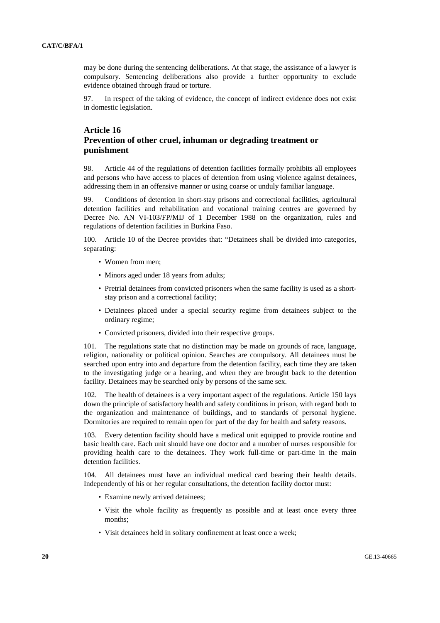may be done during the sentencing deliberations. At that stage, the assistance of a lawyer is compulsory. Sentencing deliberations also provide a further opportunity to exclude evidence obtained through fraud or torture.

97. In respect of the taking of evidence, the concept of indirect evidence does not exist in domestic legislation.

# **Article 16 Prevention of other cruel, inhuman or degrading treatment or punishment**

98. Article 44 of the regulations of detention facilities formally prohibits all employees and persons who have access to places of detention from using violence against detainees, addressing them in an offensive manner or using coarse or unduly familiar language.

99. Conditions of detention in short-stay prisons and correctional facilities, agricultural detention facilities and rehabilitation and vocational training centres are governed by Decree No. AN VI-103/FP/MIJ of 1 December 1988 on the organization, rules and regulations of detention facilities in Burkina Faso.

100. Article 10 of the Decree provides that: "Detainees shall be divided into categories, separating:

- Women from men;
- Minors aged under 18 years from adults;
- Pretrial detainees from convicted prisoners when the same facility is used as a shortstay prison and a correctional facility;
- Detainees placed under a special security regime from detainees subject to the ordinary regime;
- Convicted prisoners, divided into their respective groups.

101. The regulations state that no distinction may be made on grounds of race, language, religion, nationality or political opinion. Searches are compulsory. All detainees must be searched upon entry into and departure from the detention facility, each time they are taken to the investigating judge or a hearing, and when they are brought back to the detention facility. Detainees may be searched only by persons of the same sex.

102. The health of detainees is a very important aspect of the regulations. Article 150 lays down the principle of satisfactory health and safety conditions in prison, with regard both to the organization and maintenance of buildings, and to standards of personal hygiene. Dormitories are required to remain open for part of the day for health and safety reasons.

103. Every detention facility should have a medical unit equipped to provide routine and basic health care. Each unit should have one doctor and a number of nurses responsible for providing health care to the detainees. They work full-time or part-time in the main detention facilities.

104. All detainees must have an individual medical card bearing their health details. Independently of his or her regular consultations, the detention facility doctor must:

- Examine newly arrived detainees;
- Visit the whole facility as frequently as possible and at least once every three months;
- Visit detainees held in solitary confinement at least once a week;